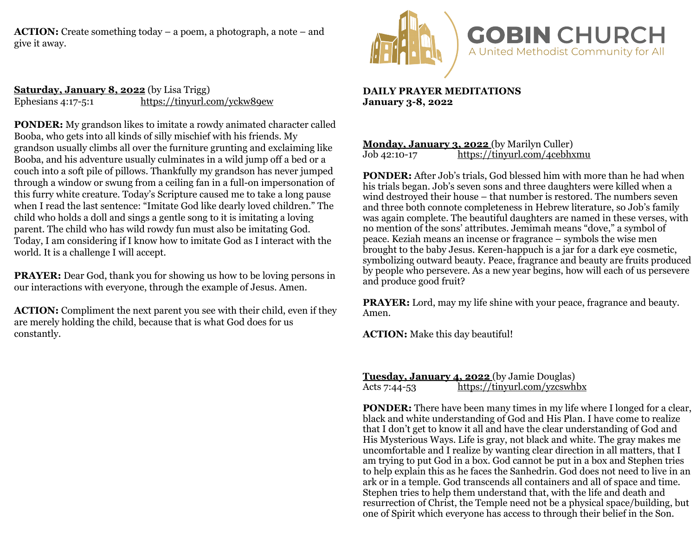**ACTION:** Create something today – a poem, a photograph, a note – and give it away.



**Saturday, January 8, 2022** (by Lisa Trigg) Ephesians 4:17-5:1 <https://tinyurl.com/yckw89ew>

**PONDER:** My grandson likes to imitate a rowdy animated character called Booba, who gets into all kinds of silly mischief with his friends. My grandson usually climbs all over the furniture grunting and exclaiming like Booba, and his adventure usually culminates in a wild jump off a bed or a couch into a soft pile of pillows. Thankfully my grandson has never jumped through a window or swung from a ceiling fan in a full-on impersonation of this furry white creature. Today's Scripture caused me to take a long pause when I read the last sentence: "Imitate God like dearly loved children." The child who holds a doll and sings a gentle song to it is imitating a loving parent. The child who has wild rowdy fun must also be imitating God. Today, I am considering if I know how to imitate God as I interact with the world. It is a challenge I will accept.

**PRAYER:** Dear God, thank you for showing us how to be loving persons in our interactions with everyone, through the example of Jesus. Amen.

**ACTION:** Compliment the next parent you see with their child, even if they are merely holding the child, because that is what God does for us constantly.

**DAILY PRAYER MEDITATIONS January 3-8, 2022**

## **Monday, January 3, 2022** (by Marilyn Culler)<br>Job 42:10-17 https://tinyurl.com/4cebhy <https://tinyurl.com/4cebhxmu>

**PONDER:** After Job's trials, God blessed him with more than he had when his trials began. Job's seven sons and three daughters were killed when a wind destroyed their house – that number is restored. The numbers seven and three both connote completeness in Hebrew literature, so Job's family was again complete. The beautiful daughters are named in these verses, with no mention of the sons' attributes. Jemimah means "dove," a symbol of peace. Keziah means an incense or fragrance – symbols the wise men brought to the baby Jesus. Keren-happuch is a jar for a dark eye cosmetic, symbolizing outward beauty. Peace, fragrance and beauty are fruits produced by people who persevere. As a new year begins, how will each of us persevere and produce good fruit?

**PRAYER:** Lord, may my life shine with your peace, fragrance and beauty. Amen.

**ACTION:** Make this day beautiful!

**Tuesday, January 4, 2022** (by Jamie Douglas) Acts 7:44-53 <https://tinyurl.com/yzcswhbx>

**PONDER:** There have been many times in my life where I longed for a clear, black and white understanding of God and His Plan. I have come to realize that I don't get to know it all and have the clear understanding of God and His Mysterious Ways. Life is gray, not black and white. The gray makes me uncomfortable and I realize by wanting clear direction in all matters, that I am trying to put God in a box. God cannot be put in a box and Stephen tries to help explain this as he faces the Sanhedrin. God does not need to live in an ark or in a temple. God transcends all containers and all of space and time. Stephen tries to help them understand that, with the life and death and resurrection of Christ, the Temple need not be a physical space/building, but one of Spirit which everyone has access to through their belief in the Son.